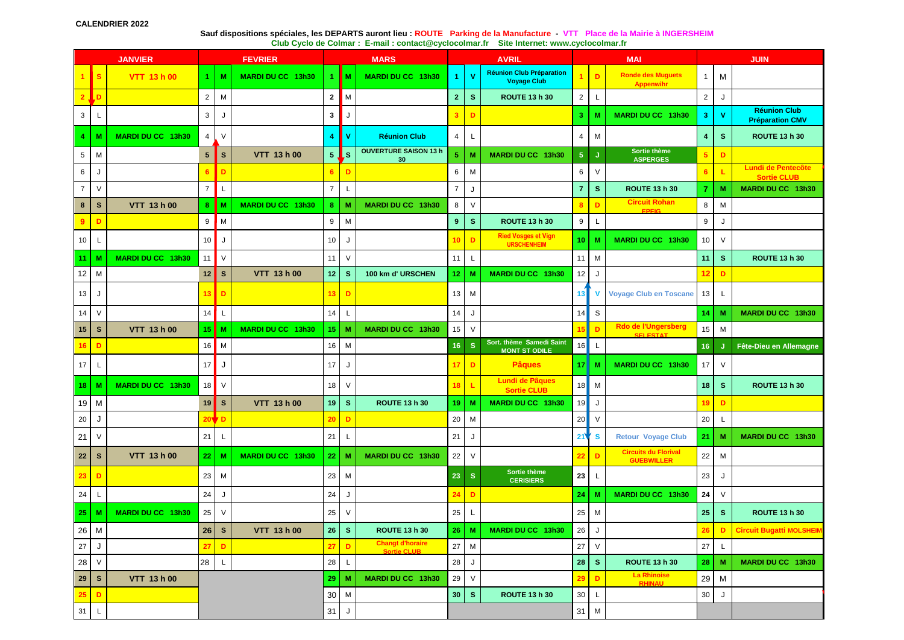## **Sauf dispositions spéciales, les DEPARTS auront lieu : ROUTE Parking de la Manufacture - VTT Place de la Mairie à INGERSHEIM Club Cyclo de Colmar : E-mail : contact@cyclocolmar.fr Site Internet: www.cyclocolmar.fr**

| <b>JANVIER</b>  |              |                          | <b>FEVRIER</b>  |             |                   | <b>MARS</b>    |              |                                               | <b>AVRIL</b>         |              |                                                       |                 | <b>MAI</b>   |                                                  |                 | <b>JUIN</b>  |                                                 |  |
|-----------------|--------------|--------------------------|-----------------|-------------|-------------------|----------------|--------------|-----------------------------------------------|----------------------|--------------|-------------------------------------------------------|-----------------|--------------|--------------------------------------------------|-----------------|--------------|-------------------------------------------------|--|
| 1               | l s          | VTT 13 h 00              | 4               | M           | MARDI DU CC 13h30 |                | M            | MARDI DU CC 13h30                             | $\blacktriangleleft$ | $\mathbf{v}$ | <b>Réunion Club Préparation</b><br><b>Voyage Club</b> |                 | D            | <b>Ronde des Muguets</b><br><b>Appenwihr</b>     | $\mathbf{1}$    | М            |                                                 |  |
|                 | LD           |                          | $\overline{2}$  | M           |                   | $\overline{2}$ | M            |                                               | $\overline{2}$       | $\mathbf{s}$ | <b>ROUTE 13 h 30</b>                                  | $\overline{2}$  | L            |                                                  | $\overline{2}$  | J            |                                                 |  |
| 3               |              |                          | 3               | J           |                   | 3              | J            |                                               | 3                    | D            |                                                       | 3               | M            | MARDI DU CC 13h30                                | 3               | $\mathbf{V}$ | <b>Réunion Club</b><br><b>Préparation CMV</b>   |  |
| 4               | M            | <b>MARDI DU CC 13h30</b> | $\overline{4}$  | V           |                   | $\overline{4}$ | $\mathbf{V}$ | <b>Réunion Club</b>                           | $\overline{4}$       | L            |                                                       | 4               | м            |                                                  | $\overline{4}$  | s            | <b>ROUTE 13 h 30</b>                            |  |
| 5               | M            |                          | $5\phantom{.0}$ | $\mathbf s$ | VTT 13 h 00       | 5 <sup>1</sup> | Ls           | <b>OUVERTURE SAISON 13 h</b><br>30            | $\sqrt{5}$           | M            | MARDI DU CC 13h30                                     | 5 <sub>5</sub>  | IJ           | Sortie thème<br><b>ASPERGES</b>                  | 5               | D            |                                                 |  |
| 6               |              |                          |                 | D           |                   | 6              | D            |                                               | 6                    | M            |                                                       | 6               | $\vee$       |                                                  |                 |              | <b>Lundi de Pentecôte</b><br><b>Sortie CLUB</b> |  |
| $\overline{7}$  | $\vee$       |                          | $\overline{7}$  | L           |                   | $\overline{7}$ | L            |                                               | $\overline{7}$       | J            |                                                       | $\overline{7}$  | $\mathbf{s}$ | <b>ROUTE 13 h 30</b>                             |                 | M            | MARDI DU CC 13h30                               |  |
| 8               | S            | VTT 13 h 00              | 8               | M           | MARDI DU CC 13h30 | 8              | M            | MARDI DU CC 13h30                             | 8                    | $\vee$       |                                                       | 8               | D            | <b>Circuit Rohan</b><br><b>FPFIG</b>             | 8               | M            |                                                 |  |
| 9               | D            |                          | 9               | M           |                   | 9              | M            |                                               | 9                    | $\mathbf{s}$ | <b>ROUTE 13 h 30</b>                                  | 9               | L            |                                                  | 9               | J            |                                                 |  |
| 10              |              |                          | 10              | J           |                   | 10             | J            |                                               | 10                   | D            | <b>Ried Vosges et Vign</b><br><b>URSCHENHEIM</b>      | 10              | M            | MARDI DU CC 13h30                                | 10              | $\vee$       |                                                 |  |
| 11              | M            | MARDI DU CC 13h30        | 11              | $\vee$      |                   | 11             | $\vee$       |                                               | 11                   | L            |                                                       | 11              | М            |                                                  | 11              | $\mathbf{s}$ | <b>ROUTE 13 h 30</b>                            |  |
| 12              | м            |                          | 12 <sub>2</sub> | $\mathbf s$ | VTT 13 h 00       | 12             | $\mathbf{s}$ | 100 km d' URSCHEN                             | 12 <sub>1</sub>      | M            | MARDI DU CC 13h30                                     | 12              | J            |                                                  | 12              | D            |                                                 |  |
| 13              |              |                          | 13              | D           |                   | 13             | D            |                                               | 13 <sup>1</sup>      | М            |                                                       | 13              |              | <b>Voyage Club en Toscane</b>                    | 13              | L            |                                                 |  |
| 14              | $\vee$       |                          | 14              | L           |                   | 14             | L            |                                               | 14                   | J            |                                                       | 14              | $\mathsf S$  |                                                  | 14              | M            | MARDI DU CC 13h30                               |  |
| 15 <sub>1</sub> | S            | VTT 13 h 00              | 15              | M           | MARDI DU CC 13h30 | 15             | M            | MARDI DU CC 13h30                             | 15 <sub>15</sub>     | $\vee$       |                                                       |                 | D            | Rdo de l'Ungersberg<br><b>SELESTAT</b>           | 15 <sup>1</sup> | M            |                                                 |  |
| 16              | D            |                          | 16              | M           |                   | 16             | M            |                                               | $16-1$               | -S           | Sort. thème Samedi Saint<br><b>MONT ST ODILE</b>      | 16              | L            |                                                  | 16 <sup>°</sup> | J.           | Fête-Dieu en Allemagne                          |  |
| 17              |              |                          | 17              | J           |                   | 17             | J            |                                               | 17 <sub>1</sub>      | D            | <b>Pâques</b>                                         | 17 <sup>1</sup> | M            | MARDI DU CC 13h30                                | 17              | V            |                                                 |  |
| 18              | N            | MARDI DU CC 13h30        | 18              | $\vee$      |                   | 18             | $\vee$       |                                               | 18                   | ı            | <b>Lundi de Pâques</b><br><b>Sortie CLUB</b>          | 18              | M            |                                                  | 18              | ${\bf s}$    | <b>ROUTE 13 h 30</b>                            |  |
| 19              | м            |                          | 19              | ${\bf s}$   | VTT 13 h 00       | 19             | $\mathbf{s}$ | <b>ROUTE 13 h 30</b>                          | 19 <sub>1</sub>      | M            | MARDI DU CC 13h30                                     | 19              | J            |                                                  | 19              | D            |                                                 |  |
| 20              |              |                          | 201             | D           |                   | 20             | D            |                                               | 20                   | M            |                                                       | 20              | $\vee$       |                                                  | 20              | L            |                                                 |  |
| 21              | $\vee$       |                          | 21              |             |                   | 21             | L            |                                               | 21                   | J            |                                                       | 21              | $\mathbf{s}$ | <b>Retour Voyage Club</b>                        | 21              | M            | MARDI DU CC 13h30                               |  |
| 22              | S            | VTT 13 h 00              | 22              | M           | MARDI DU CC 13h30 | 22             | M            | MARDI DU CC 13h30                             | 22                   | V            |                                                       | 22              | D            | <b>Circuits du Florival</b><br><b>GUEBWILLER</b> | 22              | M            |                                                 |  |
| 23              | D            |                          | 23              | M           |                   | 23             | М            |                                               | 23 <sub>1</sub>      | <b>S</b>     | Sortie thème<br><b>CERISIERS</b>                      | 23              | L            |                                                  | 23              | J            |                                                 |  |
| 24              | L            |                          | 24              | J           |                   | 24             | J            |                                               |                      | D            |                                                       | 24              | M            | MARDI DU CC 13h30                                | 24              | $\vee$       |                                                 |  |
| 25              | M            | <b>MARDI DU CC 13h30</b> | 25              | V           |                   | 25             | $\vee$       |                                               | 25                   | L            |                                                       | 25              | м            |                                                  | 25              | s            | <b>ROUTE 13 h 30</b>                            |  |
|                 | 26 M         |                          | 26              | $\mathbf s$ | VTT 13 h 00       | 26             | $\mathbf S$  | <b>ROUTE 13 h 30</b>                          |                      | $26$ M       | MARDI DU CC 13h30                                     | 26              | J            |                                                  |                 | $\mathbf{D}$ | Circuit Bugatti MOLSHEI                         |  |
| 27              | J            |                          | 27              | D           |                   | 27             | D            | <b>Changt d'horaire</b><br><b>Sortie CLUB</b> |                      | 27 M         |                                                       |                 | 27 V         |                                                  | $27 \mid L$     |              |                                                 |  |
| 28 V            |              |                          | 28              | L           |                   | 28             | $\mathsf{L}$ |                                               | 28                   | J            |                                                       | 28              | ${\bf S}$    | <b>ROUTE 13 h 30</b>                             | $28$ M          |              | MARDI DU CC 13h30                               |  |
|                 | $29$ S       | VTT 13 h 00              |                 |             |                   | 29             | M            | MARDI DU CC 13h30                             | 29                   | V            |                                                       | 29              | D            | <b>La Rhinoise</b><br><b>RHINAU</b>              | 29 M            |              |                                                 |  |
| 25              | D            |                          |                 |             |                   | 30             | M            |                                               |                      | $30 \mid S$  | <b>ROUTE 13 h 30</b>                                  | 30 <sub>o</sub> | $\mathsf{L}$ |                                                  | $30\,$          | J            |                                                 |  |
| 31              | $\mathsf{L}$ |                          |                 |             |                   | 31             | J            |                                               |                      |              |                                                       |                 | $31$ M       |                                                  |                 |              |                                                 |  |